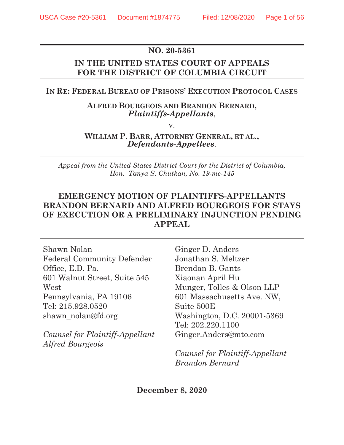# **NO. 20-5361**

# **IN THE UNITED STATES COURT OF APPEALS FOR THE DISTRICT OF COLUMBIA CIRCUIT**

## **IN RE: FEDERAL BUREAU OF PRISONS' EXECUTION PROTOCOL CASES**

## **ALFRED BOURGEOIS AND BRANDON BERNARD,** *Plaintiffs-Appellants*,

v.

## **WILLIAM P. BARR, ATTORNEY GENERAL, ET AL.,** *Defendants-Appellees*.

*Appeal from the United States District Court for the District of Columbia, Hon. Tanya S. Chutkan, No. 19-mc-145* 

# **EMERGENCY MOTION OF PLAINTIFFS-APPELLANTS BRANDON BERNARD AND ALFRED BOURGEOIS FOR STAYS OF EXECUTION OR A PRELIMINARY INJUNCTION PENDING APPEAL**

| Shawn Nolan                       | Ginger D. Anders                |
|-----------------------------------|---------------------------------|
| <b>Federal Community Defender</b> | Jonathan S. Meltzer             |
| Office, E.D. Pa.                  | Brendan B. Gants                |
| 601 Walnut Street, Suite 545      | Xiaonan April Hu                |
| West                              | Munger, Tolles & Olson LLP      |
| Pennsylvania, PA 19106            | 601 Massachusetts Ave. NW,      |
| Tel: 215.928.0520                 | Suite 500E                      |
| shawn nolan@fd.org                | Washington, D.C. 20001-5369     |
|                                   | Tel: 202.220.1100               |
| Counsel for Plaintiff-Appellant   | Ginger.Anders@mto.com           |
| <i><b>Alfred Bourgeois</b></i>    |                                 |
|                                   | Counsel for Plaintiff-Appellant |
|                                   | Brandon Bernard                 |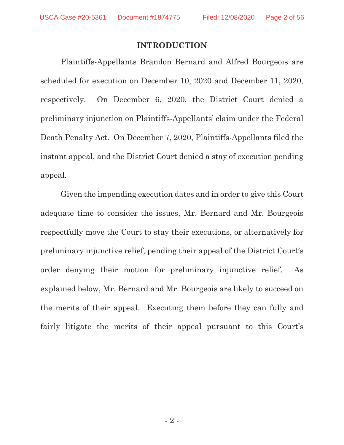## **INTRODUCTION**

Plaintiffs-Appellants Brandon Bernard and Alfred Bourgeois are scheduled for execution on December 10, 2020 and December 11, 2020, respectively. On December 6, 2020, the District Court denied a preliminary injunction on Plaintiffs-Appellants' claim under the Federal Death Penalty Act. On December 7, 2020, Plaintiffs-Appellants filed the instant appeal, and the District Court denied a stay of execution pending appeal.

Given the impending execution dates and in order to give this Court adequate time to consider the issues, Mr. Bernard and Mr. Bourgeois respectfully move the Court to stay their executions, or alternatively for preliminary injunctive relief, pending their appeal of the District Court's order denying their motion for preliminary injunctive relief. As explained below, Mr. Bernard and Mr. Bourgeois are likely to succeed on the merits of their appeal. Executing them before they can fully and fairly litigate the merits of their appeal pursuant to this Court's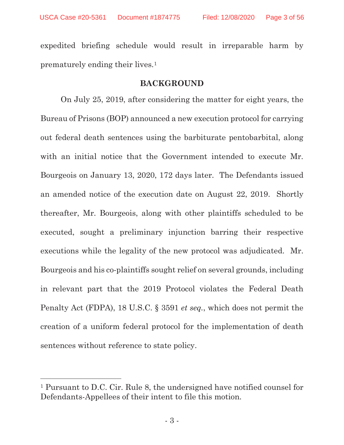expedited briefing schedule would result in irreparable harm by prematurely ending their lives.1

## **BACKGROUND**

On July 25, 2019, after considering the matter for eight years, the Bureau of Prisons (BOP) announced a new execution protocol for carrying out federal death sentences using the barbiturate pentobarbital, along with an initial notice that the Government intended to execute Mr. Bourgeois on January 13, 2020, 172 days later. The Defendants issued an amended notice of the execution date on August 22, 2019. Shortly thereafter, Mr. Bourgeois, along with other plaintiffs scheduled to be executed, sought a preliminary injunction barring their respective executions while the legality of the new protocol was adjudicated. Mr. Bourgeois and his co-plaintiffs sought relief on several grounds, including in relevant part that the 2019 Protocol violates the Federal Death Penalty Act (FDPA), 18 U.S.C. § 3591 *et seq.*, which does not permit the creation of a uniform federal protocol for the implementation of death sentences without reference to state policy.

l

<sup>1</sup> Pursuant to D.C. Cir. Rule 8, the undersigned have notified counsel for Defendants-Appellees of their intent to file this motion.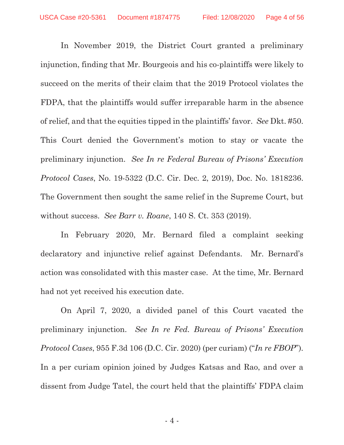In November 2019, the District Court granted a preliminary injunction, finding that Mr. Bourgeois and his co-plaintiffs were likely to succeed on the merits of their claim that the 2019 Protocol violates the FDPA, that the plaintiffs would suffer irreparable harm in the absence of relief, and that the equities tipped in the plaintiffs' favor. *See* Dkt. #50. This Court denied the Government's motion to stay or vacate the preliminary injunction. *See In re Federal Bureau of Prisons' Execution Protocol Cases*, No. 19-5322 (D.C. Cir. Dec. 2, 2019), Doc. No. 1818236. The Government then sought the same relief in the Supreme Court, but without success. *See Barr v. Roane*, 140 S. Ct. 353 (2019).

In February 2020, Mr. Bernard filed a complaint seeking declaratory and injunctive relief against Defendants. Mr. Bernard's action was consolidated with this master case. At the time, Mr. Bernard had not yet received his execution date.

On April 7, 2020, a divided panel of this Court vacated the preliminary injunction. *See In re Fed. Bureau of Prisons' Execution Protocol Cases*, 955 F.3d 106 (D.C. Cir. 2020) (per curiam) ("*In re FBOP*"). In a per curiam opinion joined by Judges Katsas and Rao, and over a dissent from Judge Tatel, the court held that the plaintiffs' FDPA claim

 $-4$  -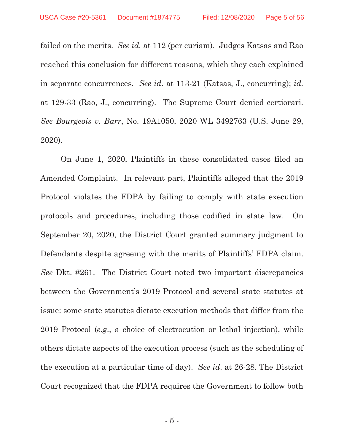failed on the merits. *See id.* at 112 (per curiam). Judges Katsas and Rao reached this conclusion for different reasons, which they each explained in separate concurrences. *See id*. at 113-21 (Katsas, J., concurring); *id*. at 129-33 (Rao, J., concurring). The Supreme Court denied certiorari. *See Bourgeois v. Barr*, No. 19A1050, 2020 WL 3492763 (U.S. June 29, 2020).

On June 1, 2020, Plaintiffs in these consolidated cases filed an Amended Complaint. In relevant part, Plaintiffs alleged that the 2019 Protocol violates the FDPA by failing to comply with state execution protocols and procedures, including those codified in state law. On September 20, 2020, the District Court granted summary judgment to Defendants despite agreeing with the merits of Plaintiffs' FDPA claim. *See* Dkt. #261. The District Court noted two important discrepancies between the Government's 2019 Protocol and several state statutes at issue: some state statutes dictate execution methods that differ from the 2019 Protocol (*e.g*., a choice of electrocution or lethal injection), while others dictate aspects of the execution process (such as the scheduling of the execution at a particular time of day). *See id*. at 26-28. The District Court recognized that the FDPA requires the Government to follow both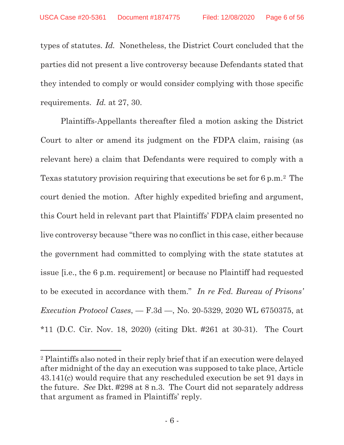types of statutes. *Id.* Nonetheless, the District Court concluded that the parties did not present a live controversy because Defendants stated that they intended to comply or would consider complying with those specific requirements. *Id.* at 27, 30.

Plaintiffs-Appellants thereafter filed a motion asking the District Court to alter or amend its judgment on the FDPA claim, raising (as relevant here) a claim that Defendants were required to comply with a Texas statutory provision requiring that executions be set for 6 p.m.2 The court denied the motion. After highly expedited briefing and argument, this Court held in relevant part that Plaintiffs' FDPA claim presented no live controversy because "there was no conflict in this case, either because the government had committed to complying with the state statutes at issue [i.e., the 6 p.m. requirement] or because no Plaintiff had requested to be executed in accordance with them." *In re Fed. Bureau of Prisons' Execution Protocol Cases*, — F.3d —, No. 20-5329, 2020 WL 6750375, at \*11 (D.C. Cir. Nov. 18, 2020) (citing Dkt. #261 at 30-31). The Court

<sup>2</sup> Plaintiffs also noted in their reply brief that if an execution were delayed after midnight of the day an execution was supposed to take place, Article 43.141(c) would require that any rescheduled execution be set 91 days in the future. *See* Dkt. #298 at 8 n.3. The Court did not separately address that argument as framed in Plaintiffs' reply.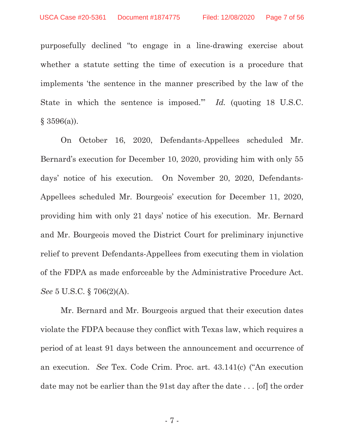purposefully declined "to engage in a line-drawing exercise about whether a statute setting the time of execution is a procedure that implements 'the sentence in the manner prescribed by the law of the State in which the sentence is imposed.'" *Id.* (quoting 18 U.S.C.  $§$  3596(a)).

On October 16, 2020, Defendants-Appellees scheduled Mr. Bernard's execution for December 10, 2020, providing him with only 55 days' notice of his execution. On November 20, 2020, Defendants-Appellees scheduled Mr. Bourgeois' execution for December 11, 2020, providing him with only 21 days' notice of his execution. Mr. Bernard and Mr. Bourgeois moved the District Court for preliminary injunctive relief to prevent Defendants-Appellees from executing them in violation of the FDPA as made enforceable by the Administrative Procedure Act. *See* 5 U.S.C. § 706(2)(A).

Mr. Bernard and Mr. Bourgeois argued that their execution dates violate the FDPA because they conflict with Texas law, which requires a period of at least 91 days between the announcement and occurrence of an execution. *See* Tex. Code Crim. Proc. art. 43.141(c) ("An execution date may not be earlier than the 91st day after the date . . . [of] the order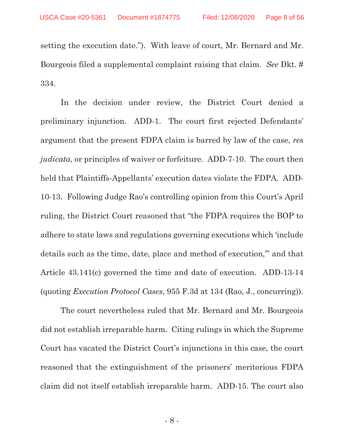setting the execution date."). With leave of court, Mr. Bernard and Mr. Bourgeois filed a supplemental complaint raising that claim. *See* Dkt. # 334.

In the decision under review, the District Court denied a preliminary injunction. ADD-1. The court first rejected Defendants' argument that the present FDPA claim is barred by law of the case, *res judicata*, or principles of waiver or forfeiture. ADD-7-10. The court then held that Plaintiffs-Appellants' execution dates violate the FDPA. ADD-10-13. Following Judge Rao's controlling opinion from this Court's April ruling, the District Court reasoned that "the FDPA requires the BOP to adhere to state laws and regulations governing executions which 'include details such as the time, date, place and method of execution,'" and that Article 43.141(c) governed the time and date of execution. ADD-13-14 (quoting *Execution Protocol Cases*, 955 F.3d at 134 (Rao, J., concurring)).

The court nevertheless ruled that Mr. Bernard and Mr. Bourgeois did not establish irreparable harm. Citing rulings in which the Supreme Court has vacated the District Court's injunctions in this case, the court reasoned that the extinguishment of the prisoners' meritorious FDPA claim did not itself establish irreparable harm. ADD-15. The court also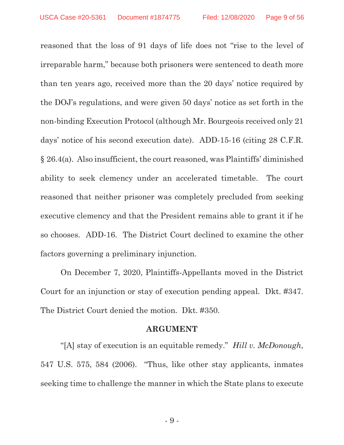reasoned that the loss of 91 days of life does not "rise to the level of irreparable harm," because both prisoners were sentenced to death more than ten years ago, received more than the 20 days' notice required by the DOJ's regulations, and were given 50 days' notice as set forth in the non-binding Execution Protocol (although Mr. Bourgeois received only 21 days' notice of his second execution date). ADD-15-16 (citing 28 C.F.R. § 26.4(a). Also insufficient, the court reasoned, was Plaintiffs' diminished ability to seek clemency under an accelerated timetable. The court reasoned that neither prisoner was completely precluded from seeking executive clemency and that the President remains able to grant it if he so chooses. ADD-16. The District Court declined to examine the other factors governing a preliminary injunction.

On December 7, 2020, Plaintiffs-Appellants moved in the District Court for an injunction or stay of execution pending appeal. Dkt. #347. The District Court denied the motion. Dkt. #350.

## **ARGUMENT**

"[A] stay of execution is an equitable remedy." *Hill v. McDonough*, 547 U.S. 575, 584 (2006). "Thus, like other stay applicants, inmates seeking time to challenge the manner in which the State plans to execute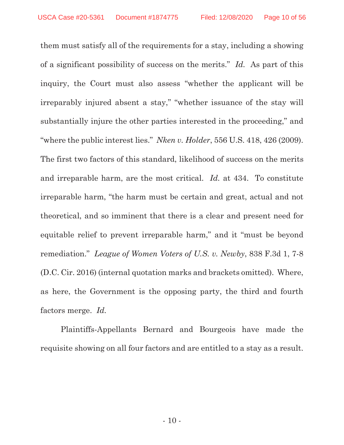them must satisfy all of the requirements for a stay, including a showing of a significant possibility of success on the merits." *Id.* As part of this inquiry, the Court must also assess "whether the applicant will be irreparably injured absent a stay," "whether issuance of the stay will substantially injure the other parties interested in the proceeding," and "where the public interest lies." *Nken v. Holder*, 556 U.S. 418, 426 (2009). The first two factors of this standard, likelihood of success on the merits and irreparable harm, are the most critical. *Id.* at 434. To constitute irreparable harm, "the harm must be certain and great, actual and not theoretical, and so imminent that there is a clear and present need for equitable relief to prevent irreparable harm," and it "must be beyond remediation." *League of Women Voters of U.S. v. Newby*, 838 F.3d 1, 7-8 (D.C. Cir. 2016) (internal quotation marks and brackets omitted). Where, as here, the Government is the opposing party, the third and fourth factors merge. *Id.*

 Plaintiffs-Appellants Bernard and Bourgeois have made the requisite showing on all four factors and are entitled to a stay as a result.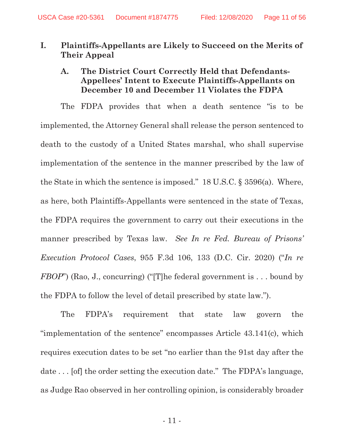# **I. Plaintiffs-Appellants are Likely to Succeed on the Merits of Their Appeal**

# **A. The District Court Correctly Held that Defendants-Appellees' Intent to Execute Plaintiffs-Appellants on December 10 and December 11 Violates the FDPA**

The FDPA provides that when a death sentence "is to be implemented, the Attorney General shall release the person sentenced to death to the custody of a United States marshal, who shall supervise implementation of the sentence in the manner prescribed by the law of the State in which the sentence is imposed." 18 U.S.C. § 3596(a). Where, as here, both Plaintiffs-Appellants were sentenced in the state of Texas, the FDPA requires the government to carry out their executions in the manner prescribed by Texas law. *See In re Fed. Bureau of Prisons' Execution Protocol Cases*, 955 F.3d 106, 133 (D.C. Cir. 2020) ("*In re FBOP*") (Rao, J., concurring) ("[T]he federal government is . . . bound by the FDPA to follow the level of detail prescribed by state law.").

The FDPA's requirement that state law govern the "implementation of the sentence" encompasses Article 43.141(c), which requires execution dates to be set "no earlier than the 91st day after the date ... [of] the order setting the execution date." The FDPA's language, as Judge Rao observed in her controlling opinion, is considerably broader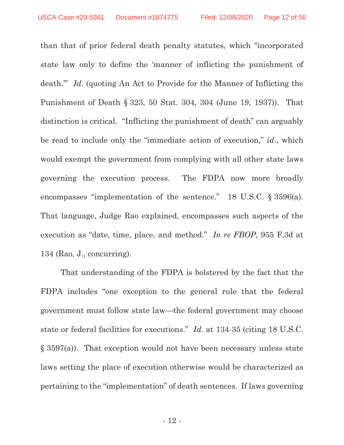than that of prior federal death penalty statutes, which "incorporated state law only to define the 'manner of inflicting the punishment of death.'" *Id.* (quoting An Act to Provide for the Manner of Inflicting the Punishment of Death § 323, 50 Stat. 304, 304 (June 19, 1937)). That distinction is critical. "Inflicting the punishment of death" can arguably be read to include only the "immediate action of execution," *id*., which would exempt the government from complying with all other state laws governing the execution process. The FDPA now more broadly encompasses "implementation of the sentence." 18 U.S.C. § 3596(a). That language, Judge Rao explained, encompasses such aspects of the execution as "date, time, place, and method." *In re FBOP*, 955 F.3d at 134 (Rao, J., concurring).

That understanding of the FDPA is bolstered by the fact that the FDPA includes "one exception to the general rule that the federal government must follow state law—the federal government may choose state or federal facilities for executions." *Id.* at 134-35 (citing 18 U.S.C. § 3597(a)). That exception would not have been necessary unless state laws setting the place of execution otherwise would be characterized as pertaining to the "implementation" of death sentences. If laws governing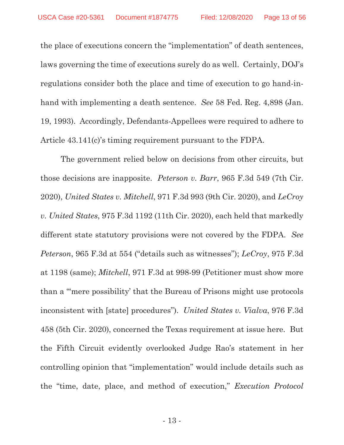the place of executions concern the "implementation" of death sentences, laws governing the time of executions surely do as well. Certainly, DOJ's regulations consider both the place and time of execution to go hand-inhand with implementing a death sentence. *See* 58 Fed. Reg. 4,898 (Jan. 19, 1993). Accordingly, Defendants-Appellees were required to adhere to Article 43.141(c)'s timing requirement pursuant to the FDPA.

The government relied below on decisions from other circuits, but those decisions are inapposite. *Peterson v. Barr*, 965 F.3d 549 (7th Cir. 2020), *United States v. Mitchell*, 971 F.3d 993 (9th Cir. 2020), and *LeCroy v. United States*, 975 F.3d 1192 (11th Cir. 2020), each held that markedly different state statutory provisions were not covered by the FDPA. *See Peterson*, 965 F.3d at 554 ("details such as witnesses"); *LeCroy*, 975 F.3d at 1198 (same); *Mitchell*, 971 F.3d at 998-99 (Petitioner must show more than a "'mere possibility' that the Bureau of Prisons might use protocols inconsistent with [state] procedures"). *United States v. Vialva*, 976 F.3d 458 (5th Cir. 2020), concerned the Texas requirement at issue here. But the Fifth Circuit evidently overlooked Judge Rao's statement in her controlling opinion that "implementation" would include details such as the "time, date, place, and method of execution," *Execution Protocol*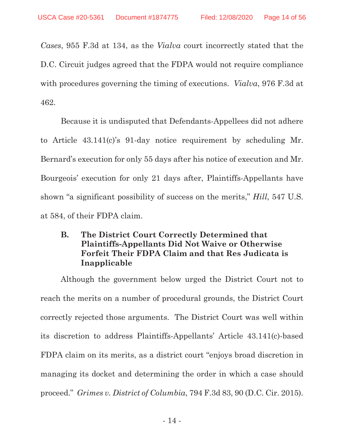*Cases*, 955 F.3d at 134, as the *Vialva* court incorrectly stated that the D.C. Circuit judges agreed that the FDPA would not require compliance with procedures governing the timing of executions. *Vialva*, 976 F.3d at 462.

Because it is undisputed that Defendants-Appellees did not adhere to Article 43.141(c)'s 91-day notice requirement by scheduling Mr. Bernard's execution for only 55 days after his notice of execution and Mr. Bourgeois' execution for only 21 days after, Plaintiffs-Appellants have shown "a significant possibility of success on the merits," *Hill*, 547 U.S. at 584, of their FDPA claim.

# **B. The District Court Correctly Determined that Plaintiffs-Appellants Did Not Waive or Otherwise Forfeit Their FDPA Claim and that Res Judicata is Inapplicable**

Although the government below urged the District Court not to reach the merits on a number of procedural grounds, the District Court correctly rejected those arguments. The District Court was well within its discretion to address Plaintiffs-Appellants' Article 43.141(c)-based FDPA claim on its merits, as a district court "enjoys broad discretion in managing its docket and determining the order in which a case should proceed." *Grimes v. District of Columbia*, 794 F.3d 83, 90 (D.C. Cir. 2015).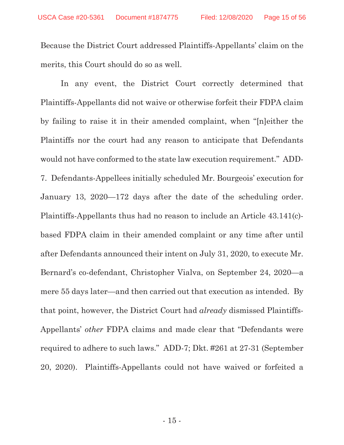Because the District Court addressed Plaintiffs-Appellants' claim on the merits, this Court should do so as well.

In any event, the District Court correctly determined that Plaintiffs-Appellants did not waive or otherwise forfeit their FDPA claim by failing to raise it in their amended complaint, when "[n]either the Plaintiffs nor the court had any reason to anticipate that Defendants would not have conformed to the state law execution requirement." ADD-7. Defendants-Appellees initially scheduled Mr. Bourgeois' execution for January 13, 2020—172 days after the date of the scheduling order. Plaintiffs-Appellants thus had no reason to include an Article 43.141(c) based FDPA claim in their amended complaint or any time after until after Defendants announced their intent on July 31, 2020, to execute Mr. Bernard's co-defendant, Christopher Vialva, on September 24, 2020—a mere 55 days later—and then carried out that execution as intended. By that point, however, the District Court had *already* dismissed Plaintiffs-Appellants' *other* FDPA claims and made clear that "Defendants were required to adhere to such laws." ADD-7; Dkt. #261 at 27-31 (September 20, 2020). Plaintiffs-Appellants could not have waived or forfeited a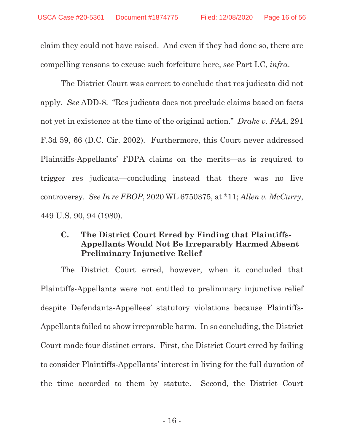claim they could not have raised. And even if they had done so, there are compelling reasons to excuse such forfeiture here, *see* Part I.C, *infra*.

The District Court was correct to conclude that res judicata did not apply. *See* ADD-8. "Res judicata does not preclude claims based on facts not yet in existence at the time of the original action." *Drake v. FAA*, 291 F.3d 59, 66 (D.C. Cir. 2002). Furthermore, this Court never addressed Plaintiffs-Appellants' FDPA claims on the merits—as is required to trigger res judicata—concluding instead that there was no live controversy. *See In re FBOP*, 2020 WL 6750375, at \*11; *Allen v. McCurry*, 449 U.S. 90, 94 (1980).

# **C. The District Court Erred by Finding that Plaintiffs-Appellants Would Not Be Irreparably Harmed Absent Preliminary Injunctive Relief**

The District Court erred, however, when it concluded that Plaintiffs-Appellants were not entitled to preliminary injunctive relief despite Defendants-Appellees' statutory violations because Plaintiffs-Appellants failed to show irreparable harm. In so concluding, the District Court made four distinct errors. First, the District Court erred by failing to consider Plaintiffs-Appellants' interest in living for the full duration of the time accorded to them by statute. Second, the District Court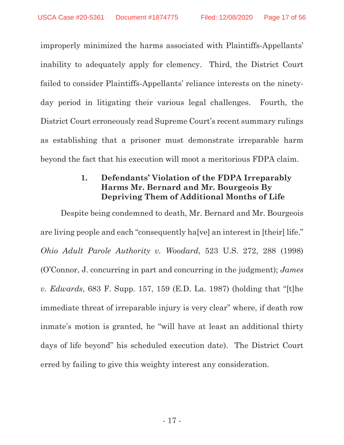improperly minimized the harms associated with Plaintiffs-Appellants' inability to adequately apply for clemency. Third, the District Court failed to consider Plaintiffs-Appellants' reliance interests on the ninetyday period in litigating their various legal challenges. Fourth, the District Court erroneously read Supreme Court's recent summary rulings as establishing that a prisoner must demonstrate irreparable harm beyond the fact that his execution will moot a meritorious FDPA claim.

# **1. Defendants' Violation of the FDPA Irreparably Harms Mr. Bernard and Mr. Bourgeois By Depriving Them of Additional Months of Life**

Despite being condemned to death, Mr. Bernard and Mr. Bourgeois are living people and each "consequently ha[ve] an interest in [their] life." *Ohio Adult Parole Authority v. Woodard*, 523 U.S. 272, 288 (1998) (O'Connor, J. concurring in part and concurring in the judgment); *James v. Edwards*, 683 F. Supp. 157, 159 (E.D. La. 1987) (holding that "[t]he immediate threat of irreparable injury is very clear" where, if death row inmate's motion is granted, he "will have at least an additional thirty days of life beyond" his scheduled execution date). The District Court erred by failing to give this weighty interest any consideration.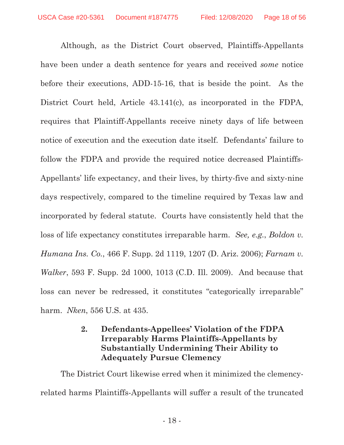Although, as the District Court observed, Plaintiffs-Appellants have been under a death sentence for years and received *some* notice before their executions, ADD-15-16, that is beside the point. As the District Court held, Article 43.141(c), as incorporated in the FDPA, requires that Plaintiff-Appellants receive ninety days of life between notice of execution and the execution date itself. Defendants' failure to follow the FDPA and provide the required notice decreased Plaintiffs-Appellants' life expectancy, and their lives, by thirty-five and sixty-nine days respectively, compared to the timeline required by Texas law and incorporated by federal statute. Courts have consistently held that the loss of life expectancy constitutes irreparable harm. *See, e.g.*, *Boldon v. Humana Ins. Co.*, 466 F. Supp. 2d 1119, 1207 (D. Ariz. 2006); *Farnam v. Walker*, 593 F. Supp. 2d 1000, 1013 (C.D. Ill. 2009). And because that loss can never be redressed, it constitutes "categorically irreparable" harm. *Nken*, 556 U.S. at 435.

# **2. Defendants-Appellees' Violation of the FDPA Irreparably Harms Plaintiffs-Appellants by Substantially Undermining Their Ability to Adequately Pursue Clemency**

The District Court likewise erred when it minimized the clemencyrelated harms Plaintiffs-Appellants will suffer a result of the truncated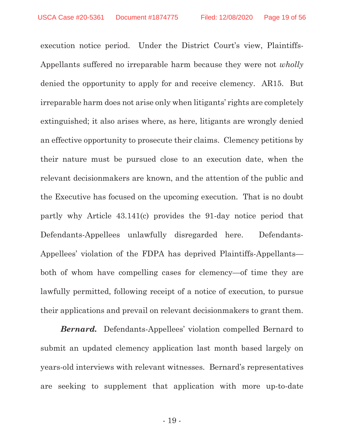execution notice period. Under the District Court's view, Plaintiffs-Appellants suffered no irreparable harm because they were not *wholly* denied the opportunity to apply for and receive clemency. AR15. But irreparable harm does not arise only when litigants' rights are completely extinguished; it also arises where, as here, litigants are wrongly denied an effective opportunity to prosecute their claims. Clemency petitions by their nature must be pursued close to an execution date, when the relevant decisionmakers are known, and the attention of the public and the Executive has focused on the upcoming execution. That is no doubt partly why Article 43.141(c) provides the 91-day notice period that Defendants-Appellees unlawfully disregarded here. Defendants-Appellees' violation of the FDPA has deprived Plaintiffs-Appellants both of whom have compelling cases for clemency—of time they are lawfully permitted, following receipt of a notice of execution, to pursue their applications and prevail on relevant decisionmakers to grant them.

*Bernard.* Defendants-Appellees' violation compelled Bernard to submit an updated clemency application last month based largely on years-old interviews with relevant witnesses. Bernard's representatives are seeking to supplement that application with more up-to-date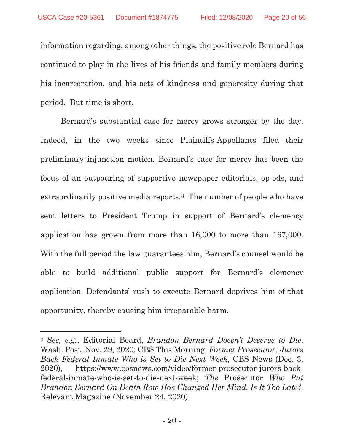information regarding, among other things, the positive role Bernard has continued to play in the lives of his friends and family members during his incarceration, and his acts of kindness and generosity during that period. But time is short.

Bernard's substantial case for mercy grows stronger by the day. Indeed, in the two weeks since Plaintiffs-Appellants filed their preliminary injunction motion, Bernard's case for mercy has been the focus of an outpouring of supportive newspaper editorials, op-eds, and extraordinarily positive media reports.3 The number of people who have sent letters to President Trump in support of Bernard's clemency application has grown from more than 16,000 to more than 167,000. With the full period the law guarantees him, Bernard's counsel would be able to build additional public support for Bernard's clemency application. Defendants' rush to execute Bernard deprives him of that opportunity, thereby causing him irreparable harm.

l

<sup>3</sup> *See, e.g.*, Editorial Board, *Brandon Bernard Doesn't Deserve to Die*, Wash. Post, Nov. 29, 2020; CBS This Morning, *Former Prosecutor, Jurors Back Federal Inmate Who is Set to Die Next Week*, CBS News (Dec. 3, 2020), https://www.cbsnews.com/video/former-prosecutor-jurors-backfederal-inmate-who-is-set-to-die-next-week; *The* Prosecutor *Who Put Brandon Bernard On Death Row Has Changed Her Mind. Is It Too Late?*, Relevant Magazine (November 24, 2020).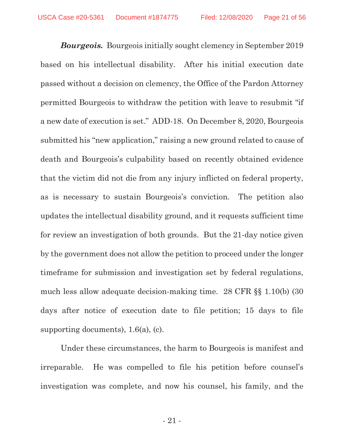*Bourgeois.* Bourgeois initially sought clemency in September 2019 based on his intellectual disability. After his initial execution date passed without a decision on clemency, the Office of the Pardon Attorney permitted Bourgeois to withdraw the petition with leave to resubmit "if a new date of execution is set." ADD-18. On December 8, 2020, Bourgeois submitted his "new application," raising a new ground related to cause of death and Bourgeois's culpability based on recently obtained evidence that the victim did not die from any injury inflicted on federal property, as is necessary to sustain Bourgeois's conviction. The petition also updates the intellectual disability ground, and it requests sufficient time for review an investigation of both grounds. But the 21-day notice given by the government does not allow the petition to proceed under the longer timeframe for submission and investigation set by federal regulations, much less allow adequate decision-making time. 28 CFR §§ 1.10(b) (30 days after notice of execution date to file petition; 15 days to file supporting documents), 1.6(a), (c).

Under these circumstances, the harm to Bourgeois is manifest and irreparable. He was compelled to file his petition before counsel's investigation was complete, and now his counsel, his family, and the

- 21 -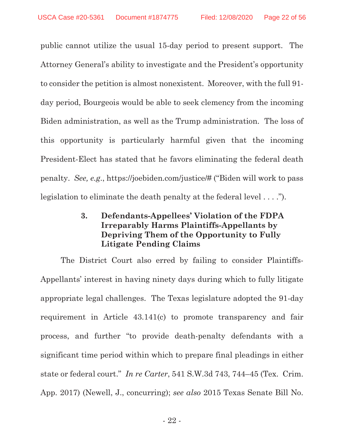public cannot utilize the usual 15-day period to present support. The Attorney General's ability to investigate and the President's opportunity to consider the petition is almost nonexistent. Moreover, with the full 91 day period, Bourgeois would be able to seek clemency from the incoming Biden administration, as well as the Trump administration. The loss of this opportunity is particularly harmful given that the incoming President-Elect has stated that he favors eliminating the federal death penalty. *See, e.g*., https://joebiden.com/justice/# ("Biden will work to pass legislation to eliminate the death penalty at the federal level . . . .").

# **3. Defendants-Appellees' Violation of the FDPA Irreparably Harms Plaintiffs-Appellants by Depriving Them of the Opportunity to Fully Litigate Pending Claims**

The District Court also erred by failing to consider Plaintiffs-Appellants' interest in having ninety days during which to fully litigate appropriate legal challenges. The Texas legislature adopted the 91-day requirement in Article 43.141(c) to promote transparency and fair process, and further "to provide death-penalty defendants with a significant time period within which to prepare final pleadings in either state or federal court." *In re Carter*, 541 S.W.3d 743, 744–45 (Tex. Crim. App. 2017) (Newell, J., concurring); *see also* 2015 Texas Senate Bill No.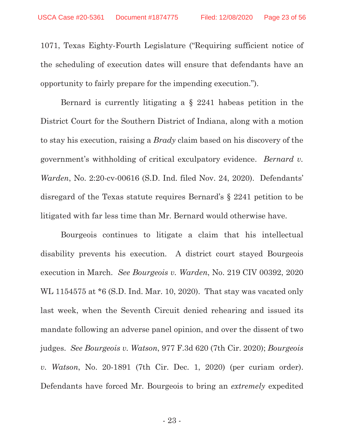1071, Texas Eighty-Fourth Legislature ("Requiring sufficient notice of the scheduling of execution dates will ensure that defendants have an opportunity to fairly prepare for the impending execution.").

Bernard is currently litigating a § 2241 habeas petition in the District Court for the Southern District of Indiana, along with a motion to stay his execution, raising a *Brady* claim based on his discovery of the government's withholding of critical exculpatory evidence. *Bernard v. Warden*, No. 2:20-cv-00616 (S.D. Ind. filed Nov. 24, 2020). Defendants' disregard of the Texas statute requires Bernard's § 2241 petition to be litigated with far less time than Mr. Bernard would otherwise have.

Bourgeois continues to litigate a claim that his intellectual disability prevents his execution. A district court stayed Bourgeois execution in March. *See Bourgeois v. Warden*, No. 219 CIV 00392, 2020 WL 1154575 at \*6 (S.D. Ind. Mar. 10, 2020). That stay was vacated only last week, when the Seventh Circuit denied rehearing and issued its mandate following an adverse panel opinion, and over the dissent of two judges. *See Bourgeois v. Watson*, 977 F.3d 620 (7th Cir. 2020); *Bourgeois v. Watson*, No. 20-1891 (7th Cir. Dec. 1, 2020) (per curiam order). Defendants have forced Mr. Bourgeois to bring an *extremely* expedited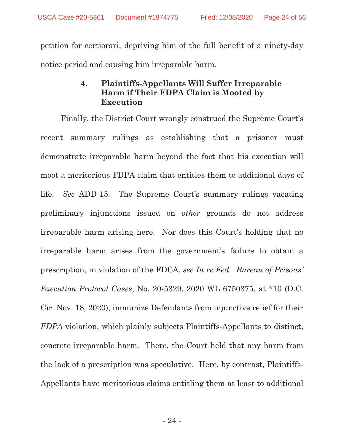petition for certiorari, depriving him of the full benefit of a ninety-day notice period and causing him irreparable harm.

# **4. Plaintiffs-Appellants Will Suffer Irreparable Harm if Their FDPA Claim is Mooted by Execution**

Finally, the District Court wrongly construed the Supreme Court's recent summary rulings as establishing that a prisoner must demonstrate irreparable harm beyond the fact that his execution will moot a meritorious FDPA claim that entitles them to additional days of life. *See* ADD-15. The Supreme Court's summary rulings vacating preliminary injunctions issued on *other* grounds do not address irreparable harm arising here. Nor does this Court's holding that no irreparable harm arises from the government's failure to obtain a prescription, in violation of the FDCA, *see In re Fed. Bureau of Prisons' Execution Protocol Cases*, No. 20-5329, 2020 WL 6750375, at \*10 (D.C. Cir. Nov. 18, 2020), immunize Defendants from injunctive relief for their *FDPA* violation, which plainly subjects Plaintiffs-Appellants to distinct, concrete irreparable harm. There, the Court held that any harm from the lack of a prescription was speculative. Here, by contrast, Plaintiffs-Appellants have meritorious claims entitling them at least to additional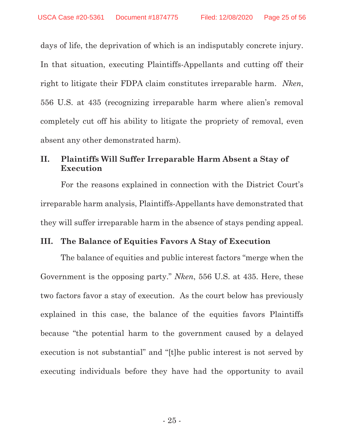days of life, the deprivation of which is an indisputably concrete injury. In that situation, executing Plaintiffs-Appellants and cutting off their right to litigate their FDPA claim constitutes irreparable harm. *Nken*, 556 U.S. at 435 (recognizing irreparable harm where alien's removal completely cut off his ability to litigate the propriety of removal, even absent any other demonstrated harm).

# **II. Plaintiffs Will Suffer Irreparable Harm Absent a Stay of Execution**

For the reasons explained in connection with the District Court's irreparable harm analysis, Plaintiffs-Appellants have demonstrated that they will suffer irreparable harm in the absence of stays pending appeal.

## **III. The Balance of Equities Favors A Stay of Execution**

The balance of equities and public interest factors "merge when the Government is the opposing party." *Nken*, 556 U.S. at 435. Here, these two factors favor a stay of execution. As the court below has previously explained in this case, the balance of the equities favors Plaintiffs because "the potential harm to the government caused by a delayed execution is not substantial" and "[t]he public interest is not served by executing individuals before they have had the opportunity to avail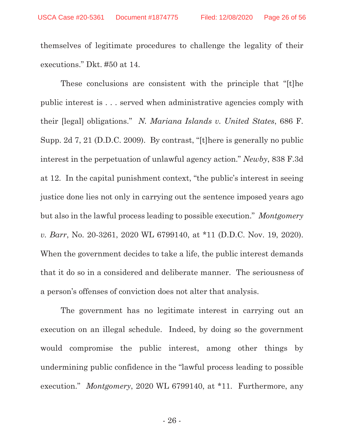themselves of legitimate procedures to challenge the legality of their executions." Dkt. #50 at 14.

These conclusions are consistent with the principle that "[t]he public interest is . . . served when administrative agencies comply with their [legal] obligations." *N. Mariana Islands v. United States*, 686 F. Supp. 2d 7, 21 (D.D.C. 2009). By contrast, "[t]here is generally no public interest in the perpetuation of unlawful agency action." *Newby*, 838 F.3d at 12. In the capital punishment context, "the public's interest in seeing justice done lies not only in carrying out the sentence imposed years ago but also in the lawful process leading to possible execution." *Montgomery v. Barr*, No. 20-3261, 2020 WL 6799140, at \*11 (D.D.C. Nov. 19, 2020). When the government decides to take a life, the public interest demands that it do so in a considered and deliberate manner. The seriousness of a person's offenses of conviction does not alter that analysis.

The government has no legitimate interest in carrying out an execution on an illegal schedule. Indeed, by doing so the government would compromise the public interest, among other things by undermining public confidence in the "lawful process leading to possible execution." *Montgomery*, 2020 WL 6799140, at \*11. Furthermore, any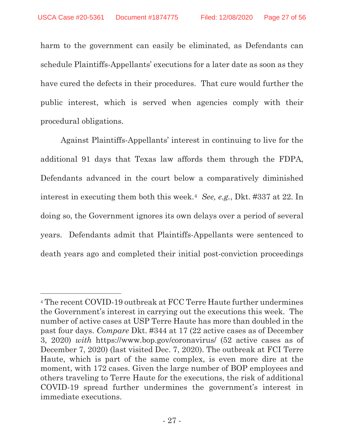harm to the government can easily be eliminated, as Defendants can schedule Plaintiffs-Appellants' executions for a later date as soon as they have cured the defects in their procedures. That cure would further the public interest, which is served when agencies comply with their procedural obligations.

Against Plaintiffs-Appellants' interest in continuing to live for the additional 91 days that Texas law affords them through the FDPA, Defendants advanced in the court below a comparatively diminished interest in executing them both this week.4 *See, e.g.*, Dkt. #337 at 22. In doing so, the Government ignores its own delays over a period of several years. Defendants admit that Plaintiffs-Appellants were sentenced to death years ago and completed their initial post-conviction proceedings

 $\overline{a}$ 

<sup>4</sup> The recent COVID-19 outbreak at FCC Terre Haute further undermines the Government's interest in carrying out the executions this week. The number of active cases at USP Terre Haute has more than doubled in the past four days. *Compare* Dkt. #344 at 17 (22 active cases as of December 3, 2020) *with* https://www.bop.gov/coronavirus/ (52 active cases as of December 7, 2020) (last visited Dec. 7, 2020). The outbreak at FCI Terre Haute, which is part of the same complex, is even more dire at the moment, with 172 cases. Given the large number of BOP employees and others traveling to Terre Haute for the executions, the risk of additional COVID-19 spread further undermines the government's interest in immediate executions.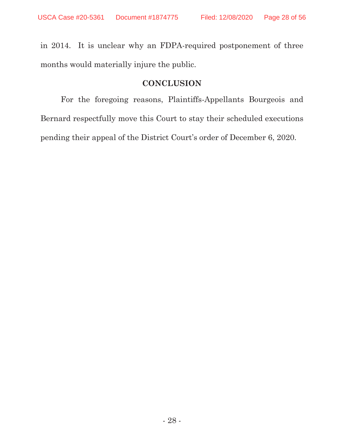in 2014. It is unclear why an FDPA-required postponement of three months would materially injure the public.

# **CONCLUSION**

For the foregoing reasons, Plaintiffs-Appellants Bourgeois and Bernard respectfully move this Court to stay their scheduled executions pending their appeal of the District Court's order of December 6, 2020.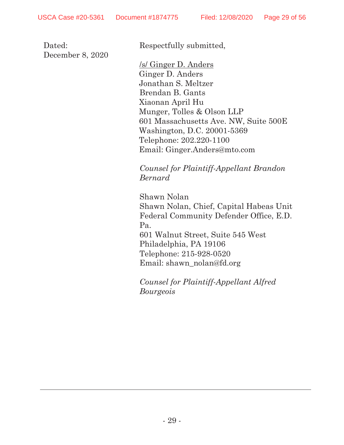Dated: December 8, 2020 Respectfully submitted,

/s/ Ginger D. Anders Ginger D. Anders Jonathan S. Meltzer Brendan B. Gants Xiaonan April Hu Munger, Tolles & Olson LLP 601 Massachusetts Ave. NW, Suite 500E Washington, D.C. 20001-5369 Telephone: 202.220-1100 Email: Ginger.Anders@mto.com

*Counsel for Plaintiff-Appellant Brandon Bernard*

Shawn Nolan Shawn Nolan, Chief, Capital Habeas Unit Federal Community Defender Office, E.D. Pa. 601 Walnut Street, Suite 545 West Philadelphia, PA 19106 Telephone: 215-928-0520 Email: shawn\_nolan@fd.org

*Counsel for Plaintiff-Appellant Alfred Bourgeois*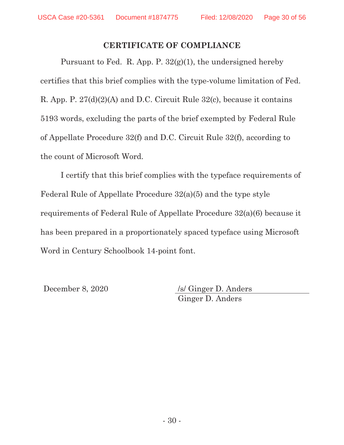## **CERTIFICATE OF COMPLIANCE**

Pursuant to Fed. R. App. P. 32(g)(1), the undersigned hereby certifies that this brief complies with the type-volume limitation of Fed. R. App. P. 27(d)(2)(A) and D.C. Circuit Rule 32(c), because it contains 5193 words, excluding the parts of the brief exempted by Federal Rule of Appellate Procedure 32(f) and D.C. Circuit Rule 32(f), according to the count of Microsoft Word.

I certify that this brief complies with the typeface requirements of Federal Rule of Appellate Procedure 32(a)(5) and the type style requirements of Federal Rule of Appellate Procedure 32(a)(6) because it has been prepared in a proportionately spaced typeface using Microsoft Word in Century Schoolbook 14-point font.

December 8, 2020 /s/ Ginger D. Anders Ginger D. Anders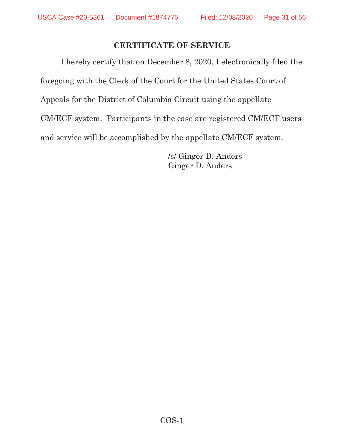# **CERTIFICATE OF SERVICE**

I hereby certify that on December 8, 2020, I electronically filed the foregoing with the Clerk of the Court for the United States Court of Appeals for the District of Columbia Circuit using the appellate CM/ECF system. Participants in the case are registered CM/ECF users and service will be accomplished by the appellate CM/ECF system.

> /s/ Ginger D. Anders Ginger D. Anders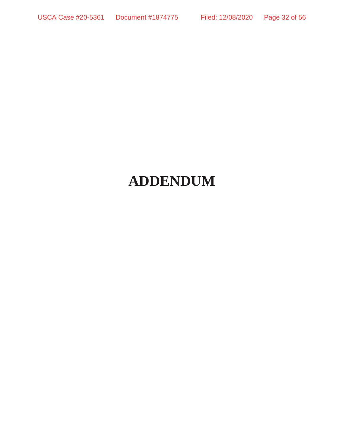# **ADDENDUM**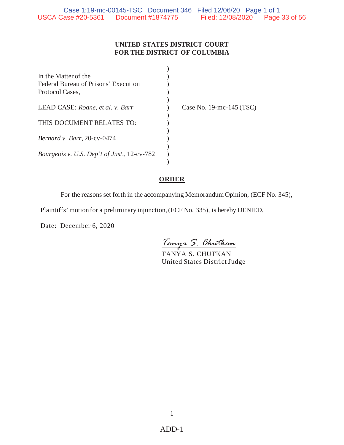#### **UNITED STATES DISTRICT COURT FOR THE DISTRICT OF COLUMBIA**

 $\lambda$ 

)

)

)

) ) ) )

In the Matter of the  $($ Federal Bureau of Prisons' Execution (1) Protocol Cases, ) LEAD CASE: *Roane, et al. v. Barr* ) Case No. 19-mc-145 (TSC) THIS DOCUMENT RELATES TO:  $)$ *Bernard v. Barr*, 20-cv-0474 *Bourgeois v. U.S. Dep't of Just.*, 12-cv-782

## **ORDER**

For the reasons set forth in the accompanying Memorandum Opinion, (ECF No. 345),

Plaintiffs' motion for a preliminary injunction, (ECF No. 335), is hereby DENIED.

Date: December 6, 2020

*Tanya S. Chutkan*

TANYA S. CHUTKAN United States District Judge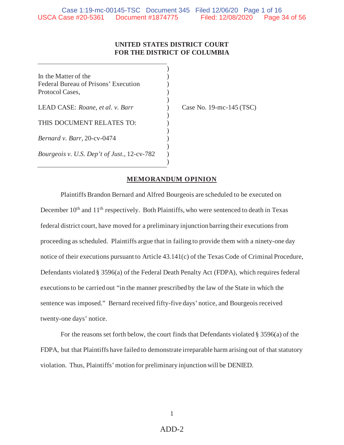#### **UNITED STATES DISTRICT COURT FOR THE DISTRICT OF COLUMBIA**

 $\lambda$ 

 $\lambda$ 

)

)

) ) ) )

In the Matter of the  $($ Federal Bureau of Prisons' Execution (1) Protocol Cases, )

LEAD CASE: *Roane, et al. v. Barr* ) Case No. 19-mc-145 (TSC)

THIS DOCUMENT RELATES TO:

*Bernard v. Barr*, 20-cv-0474

*Bourgeois v. U.S. Dep't of Just.*, 12-cv-782

#### **MEMORANDUM OPINION**

Plaintiffs Brandon Bernard and Alfred Bourgeois are scheduled to be executed on December 10<sup>th</sup> and 11<sup>th</sup> respectively. Both Plaintiffs, who were sentenced to death in Texas federal district court, have moved for a preliminary injunction barring their executions from proceeding as scheduled. Plaintiffs argue that in failing to provide them with a ninety-one day notice of their executions pursuant to Article 43.141(c) of the Texas Code of Criminal Procedure, Defendants violated § 3596(a) of the Federal Death Penalty Act (FDPA), which requires federal executions to be carried out "in the manner prescribed by the law of the State in which the sentence was imposed." Bernard received fifty-five days' notice, and Bourgeois received twenty-one days' notice.

For the reasons set forth below, the court finds that Defendants violated § 3596(a) of the FDPA, but that Plaintiffs have failed to demonstrate irreparable harm arising out of that statutory violation. Thus, Plaintiffs' motion for preliminary injunction will be DENIED.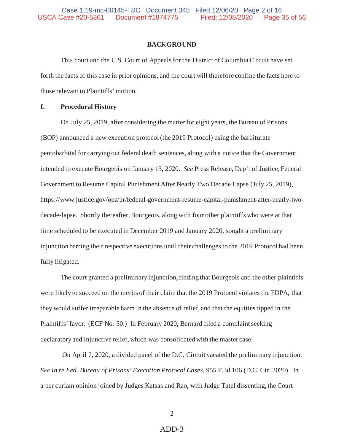#### **BACKGROUND**

 This court and the U.S. Court of Appeals for the District of Columbia Circuit have set forth the facts of this case in prior opinions, and the court will therefore confine the facts here to those relevant to Plaintiffs' motion.

#### **I. Procedural History**

On July 25, 2019, after considering the matter for eight years, the Bureau of Prisons (BOP) announced a new execution protocol (the 2019 Protocol) using the barbiturate pentobarbital for carrying out federal death sentences, along with a notice that the Government intended to execute Bourgeois on January 13, 2020. *See* Press Release, Dep't of Justice, Federal Government to Resume Capital Punishment After Nearly Two Decade Lapse (July 25, 2019), https://www.justice.gov/opa/pr/federal-government-resume-capital-punishment-after-nearly-twodecade-lapse. Shortly thereafter, Bourgeois, along with four other plaintiffs who were at that time scheduled to be executed in December 2019 and January 2020, sought a preliminary injunction barring their respective executions until their challenges to the 2019 Protocol had been fully litigated.

The court granted a preliminary injunction, finding that Bourgeois and the other plaintiffs were likely to succeed on the merits of their claim that the 2019 Protocol violates the FDPA, that they would suffer irreparable harm in the absence of relief, and that the equities tipped in the Plaintiffs' favor. (ECF No. 50.) In February 2020, Bernard filed a complaint seeking declaratory and injunctive relief, which was consolidated with the master case.

 On April 7, 2020, a divided panel of the D.C. Circuit vacated the preliminary injunction. *See In re Fed. Bureau of Prisons' Execution Protocol Cases*, 955 F.3d 106 (D.C. Cir. 2020). In a per curiam opinion joined by Judges Katsas and Rao, with Judge Tatel dissenting, the Court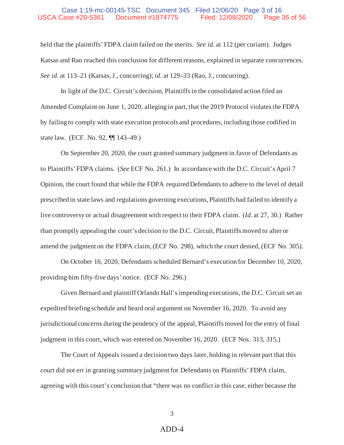#### Case 1:19-mc-00145-TSC Document 345 Filed 12/06/20 Page 3 of 16 USCA Case #20-5361 Document #1874775 Filed: 12/08/2020 Page 36 of 56

held that the plaintiffs' FDPA claim failed on the merits. *See id.* at 112 (per curiam). Judges Katsas and Rao reached this conclusion for different reasons, explained in separate concurrences. *See id.* at 113–21 (Katsas, J., concurring); *id.* at 129–33 (Rao, J., concurring).

In light of the D.C. Circuit's decision, Plaintiffs in the consolidated action filed an Amended Complaint on June 1, 2020, alleging in part, that the 2019 Protocol violates the FDPA by failing to comply with state execution protocols and procedures, including those codified in state law. (ECF. No. 92, ¶¶ 143–49.)

On September 20, 2020, the court granted summary judgment in favor of Defendants as to Plaintiffs' FDPA claims. (*See* ECF No. 261.) In accordance with the D.C. Circuit's April 7 Opinion, the court found that while the FDPA required Defendants to adhere to the level of detail prescribed in state laws and regulations governing executions, Plaintiffs had failed to identify a live controversy or actual disagreement with respect to their FDPA claim. (*Id.* at 27, 30.) Rather than promptly appealing the court's decision to the D.C. Circuit, Plaintiffs moved to alter or amend the judgment on the FDPA claim, (ECF No. 298), which the court denied, (ECF No. 305).

On October 16, 2020, Defendants scheduled Bernard's execution for December 10, 2020, providing him fifty-five days' notice. (ECF No. 296.)

Given Bernard and plaintiff Orlando Hall's impending executions, the D.C. Circuit set an expedited briefing schedule and heard oral argument on November 16, 2020. To avoid any jurisdictional concerns during the pendency of the appeal, Plaintiffs moved for the entry of final judgment in this court, which was entered on November 16, 2020. (ECF Nos. 313, 315.)

The Court of Appeals issued a decision two days later, holding in relevant part that this court did not err in granting summary judgment for Defendants on Plaintiffs' FDPA claim, agreeing with this court's conclusion that "there was no conflict in this case, either because the

3

#### ADD-4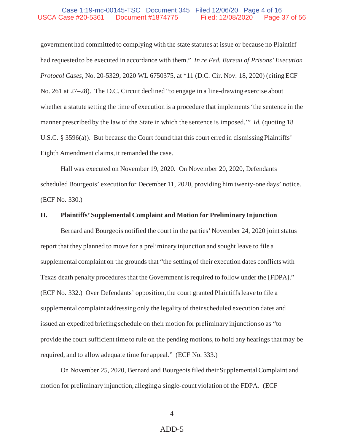#### Case 1:19-mc-00145-TSC Document 345 Filed 12/06/20 Page 4 of 16 USCA Case #20-5361 Document #1874775 Filed: 12/08/2020 Page 37 of 56

government had committed to complying with the state statutes at issue or because no Plaintiff had requested to be executed in accordance with them." *In re Fed. Bureau of Prisons' Execution Protocol Cases*, No. 20-5329, 2020 WL 6750375, at \*11 (D.C. Cir. Nov. 18, 2020) (citing ECF No. 261 at 27–28). The D.C. Circuit declined "to engage in a line-drawing exercise about whether a statute setting the time of execution is a procedure that implements 'the sentence in the manner prescribed by the law of the State in which the sentence is imposed.'" *Id.* (quoting 18 U.S.C. § 3596(a)). But because the Court found that this court erred in dismissing Plaintiffs' Eighth Amendment claims, it remanded the case.

Hall was executed on November 19, 2020. On November 20, 2020, Defendants scheduled Bourgeois' execution for December 11, 2020, providing him twenty-one days' notice. (ECF No. 330.)

#### **II. Plaintiffs' Supplemental Complaint and Motion for Preliminary Injunction**

Bernard and Bourgeois notified the court in the parties' November 24, 2020 joint status report that they planned to move for a preliminary injunction and sought leave to file a supplemental complaint on the grounds that "the setting of their execution dates conflicts with Texas death penalty procedures that the Government is required to follow under the [FDPA]." (ECF No. 332.) Over Defendants' opposition, the court granted Plaintiffs leave to file a supplemental complaint addressing only the legality of their scheduled execution dates and issued an expedited briefing schedule on their motion for preliminary injunction so as "to provide the court sufficient time to rule on the pending motions, to hold any hearings that may be required, and to allow adequate time for appeal." (ECF No. 333.)

On November 25, 2020, Bernard and Bourgeois filed their Supplemental Complaint and motion for preliminary injunction, alleging a single-count violation of the FDPA. (ECF

4

## ADD-5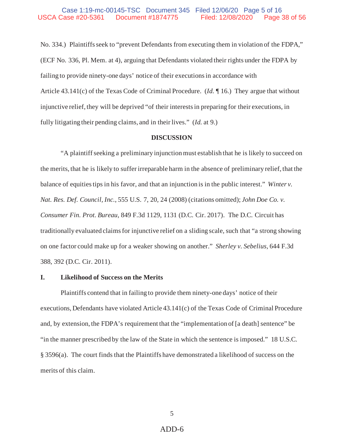No. 334.) Plaintiffs seek to "prevent Defendants from executing them in violation of the FDPA," (ECF No. 336, Pl. Mem. at 4), arguing that Defendants violated their rights under the FDPA by failing to provide ninety-one days' notice of their executions in accordance with Article 43.141(c) of the Texas Code of Criminal Procedure. (*Id.* ¶ 16.) They argue that without injunctive relief, they will be deprived "of their interests in preparing for their executions, in fully litigating their pending claims, and in their lives." (*Id.* at 9.)

#### **DISCUSSION**

"A plaintiff seeking a preliminary injunction must establish that he is likely to succeed on the merits, that he is likely to suffer irreparable harm in the absence of preliminary relief, that the balance of equities tips in his favor, and that an injunction is in the public interest." *Winter v. Nat. Res. Def. Council, Inc.*, 555 U.S. 7, 20, 24 (2008) (citations omitted); *John Doe Co. v. Consumer Fin. Prot. Bureau,* 849 F.3d 1129, 1131 (D.C. Cir. 2017). The D.C. Circuit has traditionally evaluated claims for injunctive relief on a sliding scale, such that "a strong showing on one factor could make up for a weaker showing on another." *Sherley v. Sebelius,* 644 F.3d 388, 392 (D.C. Cir. 2011).

#### **I. Likelihood of Success on the Merits**

Plaintiffs contend that in failing to provide them ninety-one days' notice of their executions, Defendants have violated Article 43.141(c) of the Texas Code of Criminal Procedure and, by extension, the FDPA's requirement that the "implementation of [a death] sentence" be "in the manner prescribed by the law of the State in which the sentence is imposed." 18 U.S.C. § 3596(a). The court finds that the Plaintiffs have demonstrated a likelihood of success on the merits of this claim.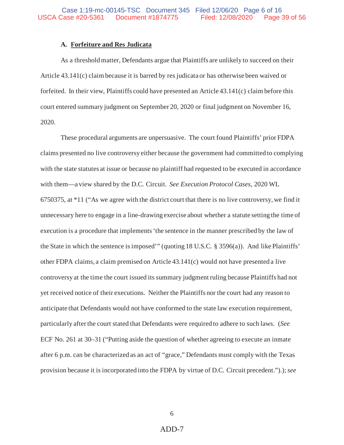#### **A. Forfeiture and Res Judicata**

As a threshold matter, Defendants argue that Plaintiffs are unlikely to succeed on their Article 43.141(c) claim because it is barred by res judicata or has otherwise been waived or forfeited. In their view, Plaintiffs could have presented an Article 43.141(c) claim before this court entered summary judgment on September 20, 2020 or final judgment on November 16, 2020.

These procedural arguments are unpersuasive. The court found Plaintiffs' prior FDPA claims presented no live controversy either because the government had committed to complying with the state statutes at issue or because no plaintiff had requested to be executed in accordance with them—a view shared by the D.C. Circuit. *See Execution Protocol Cases*, 2020 WL 6750375, at \*11 ("As we agree with the district court that there is no live controversy, we find it unnecessary here to engage in a line-drawing exercise about whether a statute setting the time of execution is a procedure that implements 'the sentence in the manner prescribed by the law of the State in which the sentence is imposed'" (quoting 18 U.S.C. § 3596(a)). And like Plaintiffs' other FDPA claims, a claim premised on Article 43.141(c) would not have presented a live controversy at the time the court issued its summary judgment ruling because Plaintiffs had not yet received notice of their executions. Neither the Plaintiffs nor the court had any reason to anticipate that Defendants would not have conformed to the state law execution requirement, particularly after the court stated that Defendants were required to adhere to such laws. (*See* ECF No. 261 at 30–31 ("Putting aside the question of whether agreeing to execute an inmate after 6 p.m. can be characterized as an act of "grace," Defendants must comply with the Texas provision because it is incorporated into the FDPA by virtue of D.C. Circuit precedent.").); *see*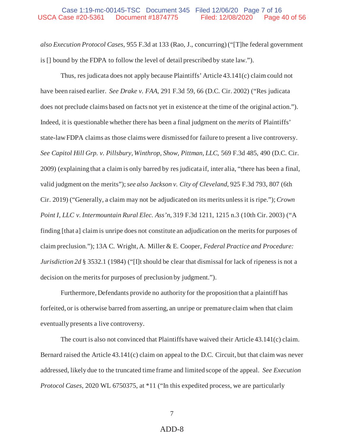#### Case 1:19-mc-00145-TSC Document 345 Filed 12/06/20 Page 7 of 16 USCA Case #20-5361 Document #1874775 Filed: 12/08/2020 Page 40 of 56

*also Execution Protocol Cases*, 955 F.3d at 133 (Rao, J., concurring) ("[T]he federal government is [] bound by the FDPA to follow the level of detail prescribed by state law.").

Thus, res judicata does not apply because Plaintiffs' Article 43.141(c) claim could not have been raised earlier. *See Drake v. FAA*, 291 F.3d 59, 66 (D.C. Cir. 2002) ("Res judicata does not preclude claims based on facts not yet in existence at the time of the original action."). Indeed, it is questionable whether there has been a final judgment on the *merits* of Plaintiffs' state-law FDPA claims as those claims were dismissed for failure to present a live controversy. *See Capitol Hill Grp. v. Pillsbury, Winthrop, Show, Pittman, LLC*, 569 F.3d 485, 490 (D.C. Cir. 2009) (explaining that a claim is only barred by res judicata if, inter alia, "there has been a final, valid judgment on the merits"); *see also Jackson v. City of Cleveland*, 925 F.3d 793, 807 (6th Cir. 2019) ("Generally, a claim may not be adjudicated on its merits unless it is ripe."); *Crown Point I, LLC v. Intermountain Rural Elec. Ass'n*, 319 F.3d 1211, 1215 n.3 (10th Cir. 2003) ("A finding [that a] claim is unripe does not constitute an adjudication on the merits for purposes of claim preclusion."); 13A C. Wright, A. Miller & E. Cooper, *Federal Practice and Procedure: Jurisdiction 2d* § 3532.1 (1984) ("[I]t should be clear that dismissal for lack of ripeness is not a decision on the merits for purposes of preclusion by judgment.").

Furthermore, Defendants provide no authority for the proposition that a plaintiff has forfeited, or is otherwise barred from asserting, an unripe or premature claim when that claim eventually presents a live controversy.

The court is also not convinced that Plaintiffs have waived their Article 43.141(c) claim. Bernard raised the Article 43.141(c) claim on appeal to the D.C. Circuit, but that claim was never addressed, likely due to the truncated time frame and limited scope of the appeal. *See Execution Protocol Cases*, 2020 WL 6750375, at \*11 ("In this expedited process, we are particularly

7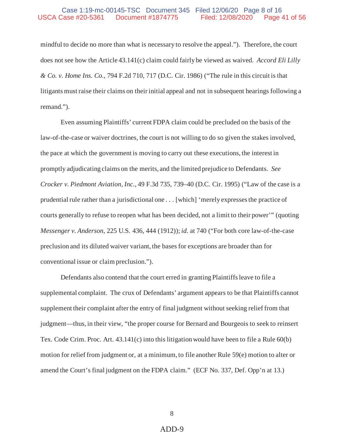mindful to decide no more than what is necessary to resolve the appeal."). Therefore, the court does not see how the Article 43.141(c) claim could fairly be viewed as waived. *Accord Eli Lilly & Co. v. Home Ins. Co.*, 794 F.2d 710, 717 (D.C. Cir. 1986) ("The rule in this circuit is that litigants must raise their claims on their initial appeal and not in subsequent hearings following a remand.").

Even assuming Plaintiffs' current FDPA claim could be precluded on the basis of the law-of-the-case or waiver doctrines, the court is not willing to do so given the stakes involved, the pace at which the government is moving to carry out these executions, the interest in promptly adjudicating claims on the merits, and the limited prejudice to Defendants. *See Crocker v. Piedmont Aviation, Inc.*, 49 F.3d 735, 739–40 (D.C. Cir. 1995) ("Law of the case is a prudential rule rather than a jurisdictional one . . . [which] 'merely expresses the practice of courts generally to refuse to reopen what has been decided, not a limit to their power'" (quoting *Messenger v. Anderson*, 225 U.S. 436, 444 (1912)); *id.* at 740 ("For both core law-of-the-case preclusion and its diluted waiver variant, the bases for exceptions are broader than for conventional issue or claim preclusion.").

Defendants also contend that the court erred in granting Plaintiffs leave to file a supplemental complaint. The crux of Defendants' argument appears to be that Plaintiffs cannot supplement their complaint after the entry of final judgment without seeking relief from that judgment—thus, in their view, "the proper course for Bernard and Bourgeois to seek to reinsert Tex. Code Crim. Proc. Art. 43.141(c) into this litigation would have been to file a Rule 60(b) motion for relief from judgment or, at a minimum, to file another Rule 59(e) motion to alter or amend the Court's final judgment on the FDPA claim." (ECF No. 337, Def. Opp'n at 13.)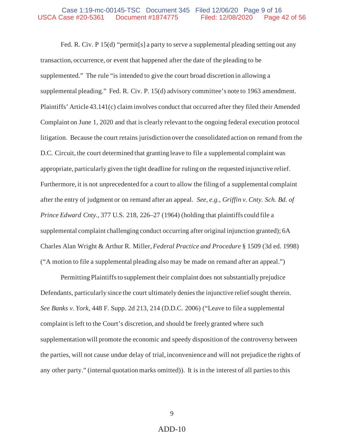#### Case 1:19-mc-00145-TSC Document 345 Filed 12/06/20 Page 9 of 16 USCA Case #20-5361 Document #1874775 Filed: 12/08/2020 Page 42 of 56

Fed. R. Civ. P 15(d) "permit<sup>[s]</sup> a party to serve a supplemental pleading setting out any transaction, occurrence, or event that happened after the date of the pleading to be supplemented." The rule "is intended to give the court broad discretion in allowing a supplemental pleading." Fed. R. Civ. P. 15(d) advisory committee's note to 1963 amendment. Plaintiffs' Article 43.141(c) claim involves conduct that occurred after they filed their Amended Complaint on June 1, 2020 and that is clearly relevant to the ongoing federal execution protocol litigation. Because the court retains jurisdiction over the consolidated action on remand from the D.C. Circuit, the court determined that granting leave to file a supplemental complaint was appropriate, particularly given the tight deadline for ruling on the requested injunctive relief. Furthermore, it is not unprecedented for a court to allow the filing of a supplemental complaint after the entry of judgment or on remand after an appeal. *See, e.g.*, *Griffin v. Cnty. Sch. Bd. of Prince Edward Cnty.*, 377 U.S. 218, 226–27 (1964) (holding that plaintiffs could file a supplemental complaint challenging conduct occurring after original injunction granted); 6A Charles Alan Wright & Arthur R. Miller, *Federal Practice and Procedure* § 1509 (3d ed. 1998) ("A motion to file a supplemental pleading also may be made on remand after an appeal.")

Permitting Plaintiffs to supplement their complaint does not substantially prejudice Defendants, particularly since the court ultimately denies the injunctive relief sought therein. *See Banks v. York*, 448 F. Supp. 2d 213, 214 (D.D.C. 2006) ("Leave to file a supplemental complaint is left to the Court's discretion, and should be freely granted where such supplementation will promote the economic and speedy disposition of the controversy between the parties, will not cause undue delay of trial, inconvenience and will not prejudice the rights of any other party." (internal quotation marks omitted)). It is in the interest of all parties to this

9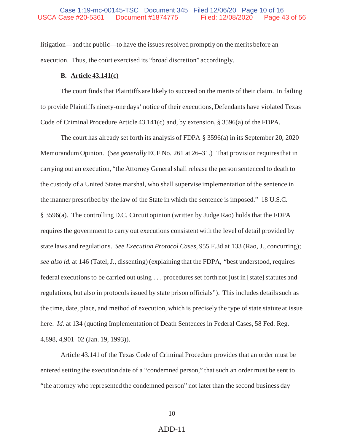litigation—and the public—to have the issues resolved promptly on the merits before an execution. Thus, the court exercised its "broad discretion" accordingly.

#### **B. Article 43.141(c)**

The court finds that Plaintiffs are likely to succeed on the merits of their claim. In failing to provide Plaintiffs ninety-one days' notice of their executions, Defendants have violated Texas Code of Criminal Procedure Article 43.141(c) and, by extension, § 3596(a) of the FDPA.

The court has already set forth its analysis of FDPA § 3596(a) in its September 20, 2020 Memorandum Opinion. (*See generally* ECF No. 261 at 26–31.) That provision requires that in carrying out an execution, "the Attorney General shall release the person sentenced to death to the custody of a United States marshal, who shall supervise implementation of the sentence in the manner prescribed by the law of the State in which the sentence is imposed." 18 U.S.C. § 3596(a). The controlling D.C. Circuit opinion (written by Judge Rao) holds that the FDPA requires the government to carry out executions consistent with the level of detail provided by state laws and regulations. *See Execution Protocol Cases*, 955 F.3d at 133 (Rao, J., concurring); *see also id.* at 146 (Tatel, J., dissenting) (explaining that the FDPA, "best understood, requires federal executions to be carried out using . . . procedures set forth not just in [state] statutes and regulations, but also in protocols issued by state prison officials"). This includes details such as the time, date, place, and method of execution, which is precisely the type of state statute at issue here. *Id.* at 134 (quoting Implementation of Death Sentences in Federal Cases, 58 Fed. Reg. 4,898, 4,901–02 (Jan. 19, 1993)).

Article 43.141 of the Texas Code of Criminal Procedure provides that an order must be entered setting the execution date of a "condemned person," that such an order must be sent to "the attorney who represented the condemned person" not later than the second business day

#### 10

#### ADD-11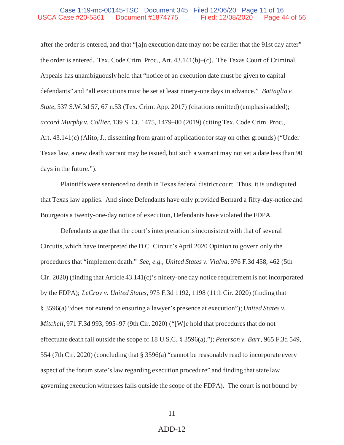#### Case 1:19-mc-00145-TSC Document 345 Filed 12/06/20 Page 11 of 16 USCA Case #20-5361 Document #1874775 Filed: 12/08/2020 Page 44 of 56

after the order is entered, and that "[a]n execution date may not be earlier that the 91st day after" the order is entered. Tex. Code Crim. Proc., Art. 43.141(b)–(c). The Texas Court of Criminal Appeals has unambiguously held that "notice of an execution date must be given to capital defendants" and "all executions must be set at least ninety-one days in advance." *Battaglia v. State*, 537 S.W.3d 57, 67 n.53 (Tex. Crim. App. 2017) (citations omitted) (emphasis added); *accord Murphy v. Collier*, 139 S. Ct. 1475, 1479–80 (2019) (citing Tex. Code Crim. Proc., Art. 43.141(c) (Alito, J., dissenting from grant of application for stay on other grounds) ("Under Texas law, a new death warrant may be issued, but such a warrant may not set a date less than 90 days in the future.").

Plaintiffs were sentenced to death in Texas federal district court. Thus, it is undisputed that Texas law applies. And since Defendants have only provided Bernard a fifty-day-notice and Bourgeois a twenty-one-day notice of execution, Defendants have violated the FDPA.

Defendants argue that the court's interpretation is inconsistent with that of several Circuits, which have interpreted the D.C. Circuit's April 2020 Opinion to govern only the procedures that "implement death." *See, e.g.*, *United States v. Vialva*, 976 F.3d 458, 462 (5th Cir. 2020) (finding that Article 43.141(c)'s ninety-one day notice requirement is not incorporated by the FDPA); *LeCroy v. United States*, 975 F.3d 1192, 1198 (11th Cir. 2020) (finding that § 3596(a) "does not extend to ensuring a lawyer's presence at execution"); *United States v. Mitchell*, 971 F.3d 993, 995–97 (9th Cir. 2020) ("[W]e hold that procedures that do not effectuate death fall outside the scope of 18 U.S.C. § 3596(a)."); *Peterson v. Barr*, 965 F.3d 549, 554 (7th Cir. 2020) (concluding that § 3596(a) "cannot be reasonably read to incorporate every aspect of the forum state's law regarding execution procedure" and finding that state law governing execution witnesses falls outside the scope of the FDPA). The court is not bound by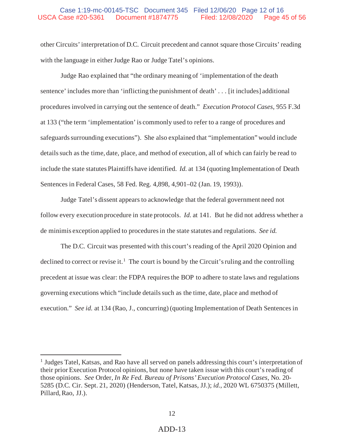#### Case 1:19-mc-00145-TSC Document 345 Filed 12/06/20 Page 12 of 16 USCA Case #20-5361 Document #1874775 Filed: 12/08/2020 Page 45 of 56

other Circuits' interpretation of D.C. Circuit precedent and cannot square those Circuits' reading with the language in either Judge Rao or Judge Tatel's opinions.

Judge Rao explained that "the ordinary meaning of 'implementation of the death sentence' includes more than 'inflicting the punishment of death' . . . [it includes] additional procedures involved in carrying out the sentence of death." *Execution Protocol Cases*, 955 F.3d at 133 ("the term 'implementation' is commonly used to refer to a range of procedures and safeguards surrounding executions"). She also explained that "implementation" would include details such as the time, date, place, and method of execution, all of which can fairly be read to include the state statutes Plaintiffs have identified. *Id.* at 134 (quoting Implementation of Death Sentences in Federal Cases, 58 Fed. Reg. 4,898, 4,901–02 (Jan. 19, 1993)).

Judge Tatel's dissent appears to acknowledge that the federal government need not follow every execution procedure in state protocols. *Id.* at 141. But he did not address whether a de minimis exception applied to procedures in the state statutes and regulations. *See id.* 

The D.C. Circuit was presented with this court's reading of the April 2020 Opinion and declined to correct or revise it.<sup>1</sup> The court is bound by the Circuit's ruling and the controlling precedent at issue was clear: the FDPA requires the BOP to adhere to state laws and regulations governing executions which "include details such as the time, date, place and method of execution." *See id.* at 134 (Rao, J., concurring) (quoting Implementation of Death Sentences in

<sup>&</sup>lt;sup>1</sup> Judges Tatel, Katsas, and Rao have all served on panels addressing this court's interpretation of their prior Execution Protocol opinions, but none have taken issue with this court's reading of those opinions. *See* Order, *In Re Fed. Bureau of Prisons' Execution Protocol Cases*, No. 20- 5285 (D.C. Cir. Sept. 21, 2020) (Henderson, Tatel, Katsas, JJ.); *id.*, 2020 WL 6750375 (Millett, Pillard, Rao, JJ.).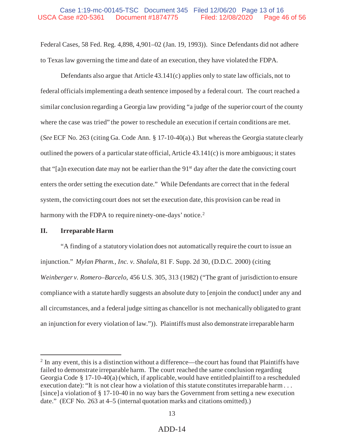#### Case 1:19-mc-00145-TSC Document 345 Filed 12/06/20 Page 13 of 16 USCA Case #20-5361 Document #1874775 Filed: 12/08/2020 Page 46 of 56

Federal Cases, 58 Fed. Reg. 4,898, 4,901–02 (Jan. 19, 1993)). Since Defendants did not adhere to Texas law governing the time and date of an execution, they have violated the FDPA.

Defendants also argue that Article 43.141(c) applies only to state law officials, not to federal officials implementing a death sentence imposed by a federal court. The court reached a similar conclusion regarding a Georgia law providing "a judge of the superior court of the county where the case was tried" the power to reschedule an execution if certain conditions are met. (*See* ECF No. 263 (citing Ga. Code Ann. § 17-10-40(a).) But whereas the Georgia statute clearly outlined the powers of a particular state official, Article 43.141(c) is more ambiguous; it states that "[a]n execution date may not be earlier than the  $91<sup>st</sup>$  day after the date the convicting court enters the order setting the execution date." While Defendants are correct that in the federal system, the convicting court does not set the execution date, this provision can be read in harmony with the FDPA to require ninety-one-days' notice.<sup>2</sup>

#### **II. Irreparable Harm**

"A finding of a statutory violation does not automatically require the court to issue an injunction." *Mylan Pharm., Inc. v. Shalala*, 81 F. Supp. 2d 30, (D.D.C. 2000) (citing *Weinberger v. Romero–Barcelo*, 456 U.S. 305, 313 (1982) ("The grant of jurisdiction to ensure compliance with a statute hardly suggests an absolute duty to [enjoin the conduct] under any and all circumstances, and a federal judge sitting as chancellor is not mechanically obligated to grant an injunction for every violation of law.")). Plaintiffs must also demonstrate irreparable harm

 $2 \text{ In any event, this is a distinction without a difference—the court has found that Plantiffs have }$ failed to demonstrate irreparable harm. The court reached the same conclusion regarding Georgia Code § 17-10-40(a) (which, if applicable, would have entitled plaintiff to a rescheduled execution date): "It is not clear how a violation of this statute constitutes irreparable harm . . . [since] a violation of § 17-10-40 in no way bars the Government from setting a new execution date." (ECF No. 263 at 4–5 (internal quotation marks and citations omitted).)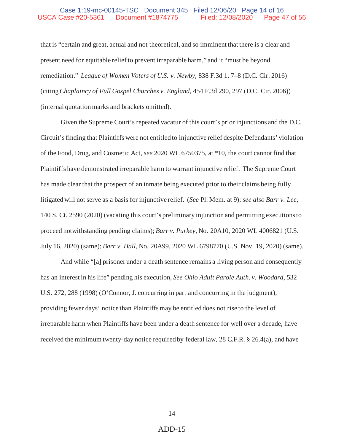that is "certain and great, actual and not theoretical, and so imminent that there is a clear and present need for equitable relief to prevent irreparable harm," and it "must be beyond remediation." *League of Women Voters of U.S. v. Newby,* 838 F.3d 1, 7–8 (D.C. Cir. 2016) (citing *Chaplaincy of Full Gospel Churches v. England*, 454 F.3d 290, 297 (D.C. Cir. 2006)) (internal quotation marks and brackets omitted).

Given the Supreme Court's repeated vacatur of this court's prior injunctions and the D.C. Circuit's finding that Plaintiffs were not entitled to injunctive relief despite Defendants' violation of the Food, Drug, and Cosmetic Act, *see* 2020 WL 6750375, at \*10, the court cannot find that Plaintiffs have demonstrated irreparable harm to warrant injunctive relief. The Supreme Court has made clear that the prospect of an inmate being executed prior to their claims being fully litigated will not serve as a basis for injunctive relief. (*See* Pl. Mem. at 9); *see also Barr v. Lee*, 140 S. Ct. 2590 (2020) (vacating this court's preliminary injunction and permitting executions to proceed notwithstanding pending claims); *Barr v. Purkey*, No. 20A10, 2020 WL 4006821 (U.S. July 16, 2020) (same); *Barr v. Hall*, No. 20A99, 2020 WL 6798770 (U.S. Nov. 19, 2020) (same).

And while "[a] prisoner under a death sentence remains a living person and consequently has an interest in his life" pending his execution, *See Ohio Adult Parole Auth. v. Woodard*, 532 U.S. 272, 288 (1998) (O'Connor, J. concurring in part and concurring in the judgment), providing fewer days' notice than Plaintiffs may be entitled does not rise to the level of irreparable harm when Plaintiffs have been under a death sentence for well over a decade, have received the minimum twenty-day notice required by federal law, 28 C.F.R. § 26.4(a), and have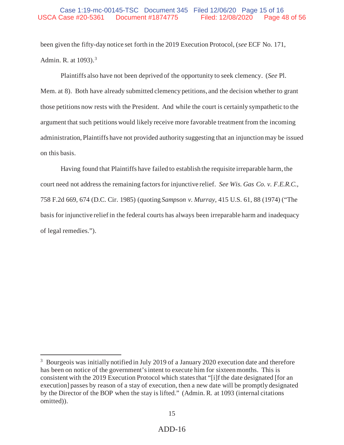been given the fifty-day notice set forth in the 2019 Execution Protocol, (*see* ECF No. 171, Admin. R. at 1093).3

Plaintiffs also have not been deprived of the opportunity to seek clemency. (*See* Pl. Mem. at 8). Both have already submitted clemency petitions, and the decision whether to grant those petitions now rests with the President. And while the court is certainly sympathetic to the argument that such petitions would likely receive more favorable treatment from the incoming administration, Plaintiffs have not provided authority suggesting that an injunction may be issued on this basis.

Having found that Plaintiffs have failed to establish the requisite irreparable harm, the court need not address the remaining factors for injunctive relief. *See Wis. Gas Co. v. F.E.R.C.*, 758 F.2d 669, 674 (D.C. Cir. 1985) (quoting *Sampson v. Murray*, 415 U.S. 61, 88 (1974) ("The basis for injunctive relief in the federal courts has always been irreparable harm and inadequacy of legal remedies.").

<sup>&</sup>lt;sup>3</sup> Bourgeois was initially notified in July 2019 of a January 2020 execution date and therefore has been on notice of the government's intent to execute him for sixteen months. This is consistent with the 2019 Execution Protocol which states that "[i]f the date designated [for an execution] passes by reason of a stay of execution, then a new date will be promptly designated by the Director of the BOP when the stay is lifted." (Admin. R. at 1093 (internal citations omitted)).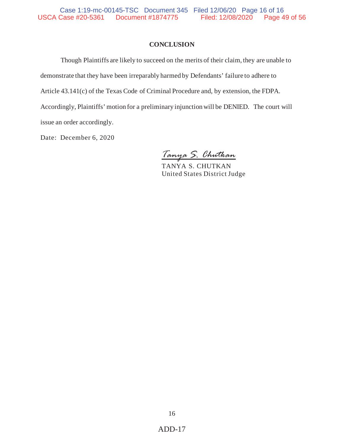#### **CONCLUSION**

Though Plaintiffs are likely to succeed on the merits of their claim, they are unable to demonstrate that they have been irreparably harmed by Defendants' failure to adhere to Article 43.141(c) of the Texas Code of Criminal Procedure and, by extension, the FDPA. Accordingly, Plaintiffs' motion for a preliminary injunction will be DENIED. The court will issue an order accordingly.

Date: December 6, 2020

*Tanya S. Chutkan*

TANYA S. CHUTKAN United States District Judge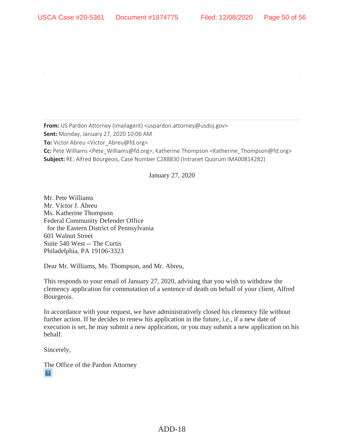**From:** US Pardon Attorney (imailagent) <uspardon.attorney@usdoj.gov> **Sent:** Monday, January 27, 2020 10:06 AM **To:** Victor Abreu <Victor\_Abreu@fd.org> **Cc:** Pete Williams <Pete\_Williams@fd.org>; Katherine Thompson <Katherine\_Thompson@fd.org> **Subject:** RE: Alfred Bourgeois, Case Number C288830 (Intranet Quorum IMA00814282)

January 27, 2020

Mr. Pete Williams Mr. Victor J. Abreu Ms. Katherine Thompson Federal Community Defender Office for the Eastern District of Pennsylvania 601 Walnut Street Suite 540 West -- The Curtis Philadelphia, PA 19106-3323

Dear Mr. Williams, Ms. Thompson, and Mr. Abreu,

This responds to your email of January 27, 2020, advising that you wish to withdraw the clemency application for commutation of a sentence of death on behalf of your client, Alfred Bourgeois.

In accordance with your request, we have administratively closed his clemency file without further action. If he decides to renew his application in the future, *i.e.*, if a new date of execution is set, he may submit a new application, or you may submit a new application on his behalf.

Sincerely,

The Office of the Pardon Attorney  $|2|$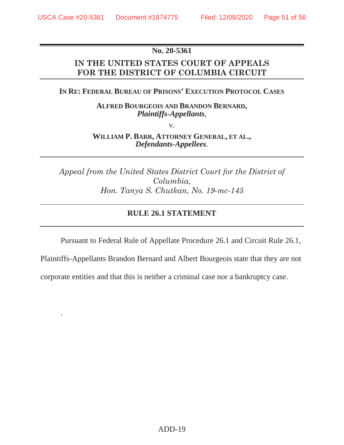.

## **No. 20-5361**

# **IN THE UNITED STATES COURT OF APPEALS FOR THE DISTRICT OF COLUMBIA CIRCUIT**

## **IN RE: FEDERAL BUREAU OF PRISONS' EXECUTION PROTOCOL CASES**

**ALFRED BOURGEOIS AND BRANDON BERNARD,** *Plaintiffs-Appellants*,

v.

**WILLIAM P. BARR, ATTORNEY GENERAL, ET AL.,** *Defendants-Appellees*.

*Appeal from the United States District Court for the District of Columbia, Hon. Tanya S. Chutkan, No. 19-mc-145* 

## **RULE 26.1 STATEMENT**

Pursuant to Federal Rule of Appellate Procedure 26.1 and Circuit Rule 26.1,

Plaintiffs-Appellants Brandon Bernard and Albert Bourgeois state that they are not

corporate entities and that this is neither a criminal case nor a bankruptcy case.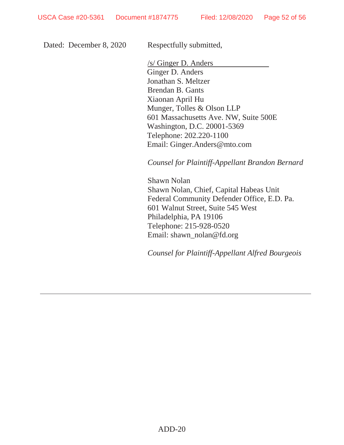Dated: December 8, 2020

Respectfully submitted,

/s/ Ginger D. Anders Ginger D. Anders Jonathan S. Meltzer Brendan B. Gants Xiaonan April Hu Munger, Tolles & Olson LLP 601 Massachusetts Ave. NW, Suite 500E Washington, D.C. 20001-5369 Telephone: 202.220-1100 Email: Ginger.Anders@mto.com

*Counsel for Plaintiff-Appellant Brandon Bernard* 

Shawn Nolan Shawn Nolan, Chief, Capital Habeas Unit Federal Community Defender Office, E.D. Pa. 601 Walnut Street, Suite 545 West Philadelphia, PA 19106 Telephone: 215-928-0520 Email: shawn\_nolan@fd.org

*Counsel for Plaintiff-Appellant Alfred Bourgeois*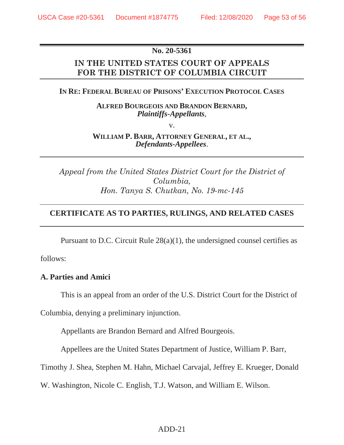## **No. 20-5361**

# **IN THE UNITED STATES COURT OF APPEALS FOR THE DISTRICT OF COLUMBIA CIRCUIT**

## **IN RE: FEDERAL BUREAU OF PRISONS' EXECUTION PROTOCOL CASES**

**ALFRED BOURGEOIS AND BRANDON BERNARD,** *Plaintiffs-Appellants*,

v.

**WILLIAM P. BARR, ATTORNEY GENERAL, ET AL.,** *Defendants-Appellees*.

*Appeal from the United States District Court for the District of Columbia, Hon. Tanya S. Chutkan, No. 19-mc-145* 

## **CERTIFICATE AS TO PARTIES, RULINGS, AND RELATED CASES**

Pursuant to D.C. Circuit Rule 28(a)(1), the undersigned counsel certifies as

follows:

## **A. Parties and Amici**

This is an appeal from an order of the U.S. District Court for the District of

Columbia, denying a preliminary injunction.

Appellants are Brandon Bernard and Alfred Bourgeois.

Appellees are the United States Department of Justice, William P. Barr,

Timothy J. Shea, Stephen M. Hahn, Michael Carvajal, Jeffrey E. Krueger, Donald

W. Washington, Nicole C. English, T.J. Watson, and William E. Wilson.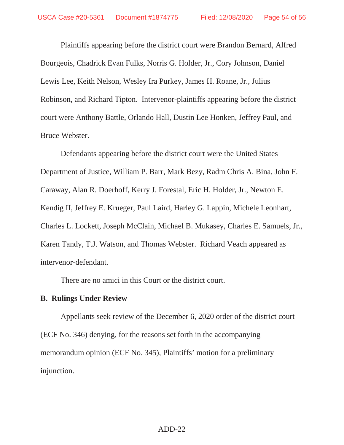Plaintiffs appearing before the district court were Brandon Bernard, Alfred Bourgeois, Chadrick Evan Fulks, Norris G. Holder, Jr., Cory Johnson, Daniel Lewis Lee, Keith Nelson, Wesley Ira Purkey, James H. Roane, Jr., Julius Robinson, and Richard Tipton. Intervenor-plaintiffs appearing before the district court were Anthony Battle, Orlando Hall, Dustin Lee Honken, Jeffrey Paul, and Bruce Webster.

Defendants appearing before the district court were the United States Department of Justice, William P. Barr, Mark Bezy, Radm Chris A. Bina, John F. Caraway, Alan R. Doerhoff, Kerry J. Forestal, Eric H. Holder, Jr., Newton E. Kendig II, Jeffrey E. Krueger, Paul Laird, Harley G. Lappin, Michele Leonhart, Charles L. Lockett, Joseph McClain, Michael B. Mukasey, Charles E. Samuels, Jr., Karen Tandy, T.J. Watson, and Thomas Webster. Richard Veach appeared as intervenor-defendant.

There are no amici in this Court or the district court.

## **B. Rulings Under Review**

Appellants seek review of the December 6, 2020 order of the district court (ECF No. 346) denying, for the reasons set forth in the accompanying memorandum opinion (ECF No. 345), Plaintiffs' motion for a preliminary injunction.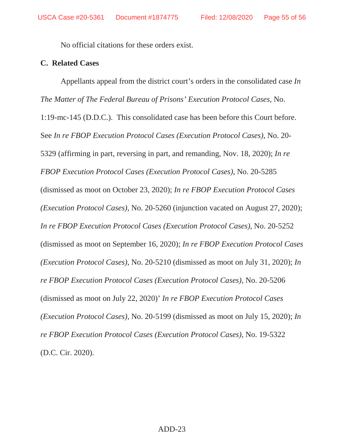No official citations for these orders exist.

## **C. Related Cases**

Appellants appeal from the district court's orders in the consolidated case *In The Matter of The Federal Bureau of Prisons' Execution Protocol Cases*, No. 1:19-mc-145 (D.D.C.). This consolidated case has been before this Court before. See *In re FBOP Execution Protocol Cases (Execution Protocol Cases)*, No. 20- 5329 (affirming in part, reversing in part, and remanding, Nov. 18, 2020); *In re FBOP Execution Protocol Cases (Execution Protocol Cases)*, No. 20-5285 (dismissed as moot on October 23, 2020); *In re FBOP Execution Protocol Cases (Execution Protocol Cases)*, No. 20-5260 (injunction vacated on August 27, 2020); *In re FBOP Execution Protocol Cases (Execution Protocol Cases)*, No. 20-5252 (dismissed as moot on September 16, 2020); *In re FBOP Execution Protocol Cases (Execution Protocol Cases)*, No. 20-5210 (dismissed as moot on July 31, 2020); *In re FBOP Execution Protocol Cases (Execution Protocol Cases)*, No. 20-5206 (dismissed as moot on July 22, 2020)' *In re FBOP Execution Protocol Cases (Execution Protocol Cases)*, No. 20-5199 (dismissed as moot on July 15, 2020); *In re FBOP Execution Protocol Cases (Execution Protocol Cases)*, No. 19-5322 (D.C. Cir. 2020).